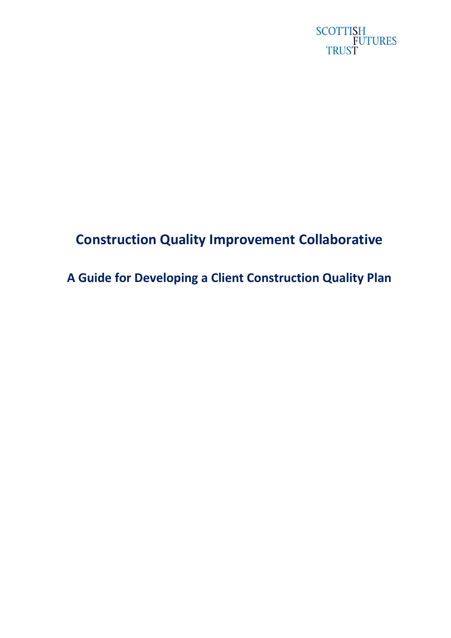

# **Construction Quality Improvement Collaborative**

**A Guide for Developing a Client Construction Quality Plan**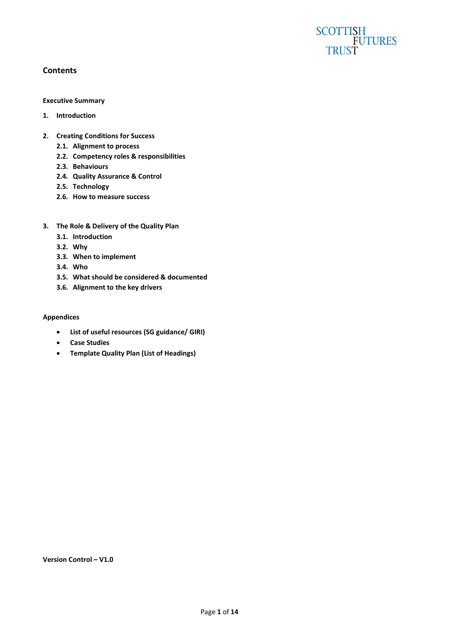# SCOTTISH<br>FUTURES<br>TRUST

#### **Contents**

#### **Executive Summary**

- **1. Introduction**
- **2. Creating Conditions for Success**
	- **2.1. Alignment to process**
	- **2.2. Competency roles & responsibilities**
	- **2.3. Behaviours**
	- **2.4. Quality Assurance & Control**
	- **2.5. Technology**
	- **2.6. How to measure success**
- **3. The Role & Delivery of the Quality Plan**
	- **3.1. Introduction**
	- **3.2. Why**
	- **3.3. When to implement**
	- **3.4. Who**
	- **3.5. What should be considered & documented**
	- **3.6. Alignment to the key drivers**

#### **Appendices**

- **List of useful resources (SG guidance/ GIRI)**
- **Case Studies**
- **Template Quality Plan (List of Headings)**

#### **Version Control – V1.0**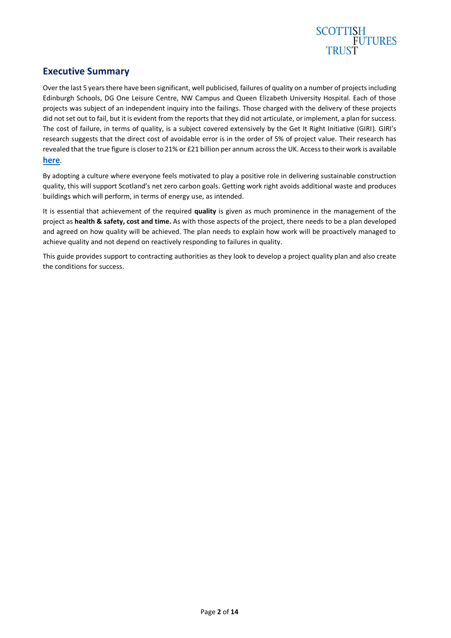

## **Executive Summary**

Over the last 5 years there have been significant, well publicised, failures of quality on a number of projects including Edinburgh Schools, DG One Leisure Centre, NW Campus and Queen Elizabeth University Hospital. Each of those projects was subject of an independent inquiry into the failings. Those charged with the delivery of these projects did not set out to fail, but it is evident from the reports that they did not articulate, or implement, a plan for success. The cost of failure, in terms of quality, is a subject covered extensively by the Get It Right Initiative (GIRI). GIRI's research suggests that the direct cost of avoidable error is in the order of 5% of project value. Their research has revealed that the true figure is closer to 21% or £21 billion per annum across the UK. Access to their work is available **[here](https://getitright.uk.com/reports)**.

By adopting a culture where everyone feels motivated to play a positive role in delivering sustainable construction quality, this will support Scotland's net zero carbon goals. Getting work right avoids additional waste and produces buildings which will perform, in terms of energy use, as intended.

It is essential that achievement of the required **quality** is given as much prominence in the management of the project as **health & safety, cost and time.** As with those aspects of the project, there needs to be a plan developed and agreed on how quality will be achieved. The plan needs to explain how work will be proactively managed to achieve quality and not depend on reactively responding to failures in quality.

This guide provides support to contracting authorities as they look to develop a project quality plan and also create the conditions for success.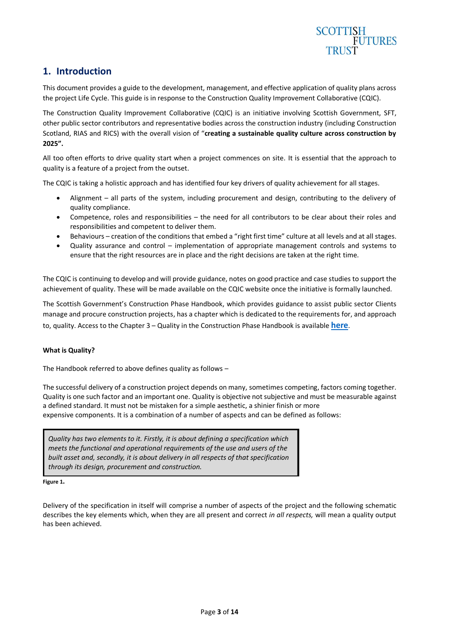

## **1. Introduction**

This document provides a guide to the development, management, and effective application of quality plans across the project Life Cycle. This guide is in response to the Construction Quality Improvement Collaborative (CQIC).

The Construction Quality Improvement Collaborative (CQIC) is an initiative involving Scottish Government, SFT, other public sector contributors and representative bodies across the construction industry (including Construction Scotland, RIAS and RICS) with the overall vision of "**creating a sustainable quality culture across construction by 2025".** 

All too often efforts to drive quality start when a project commences on site. It is essential that the approach to quality is a feature of a project from the outset.

The CQIC is taking a holistic approach and has identified four key drivers of quality achievement for all stages.

- Alignment all parts of the system, including procurement and design, contributing to the delivery of quality compliance.
- Competence, roles and responsibilities the need for all contributors to be clear about their roles and responsibilities and competent to deliver them.
- Behaviours creation of the conditions that embed a "right first time" culture at all levels and at all stages.
- Quality assurance and control implementation of appropriate management controls and systems to ensure that the right resources are in place and the right decisions are taken at the right time.

The CQIC is continuing to develop and will provide guidance, notes on good practice and case studies to support the achievement of quality. These will be made available on the CQIC website once the initiative is formally launched.

The Scottish Government's Construction Phase Handbook, which provides guidance to assist public sector Clients manage and procure construction projects, has a chapter which is dedicated to the requirements for, and approach to, quality. Access to the Chapter 3 – Quality in the Construction Phase Handbook is available **[here](https://www.gov.scot/publications/construction-phase-handbook/pages/3/#page-top)**.

#### **What is Quality?**

The Handbook referred to above defines quality as follows –

The successful delivery of a construction project depends on many, sometimes competing, factors coming together. Quality is one such factor and an important one. Quality is objective not subjective and must be measurable against a defined standard. It must not be mistaken for a simple aesthetic, a shinier finish or more expensive components. It is a combination of a number of aspects and can be defined as follows:

*Quality has two elements to it. Firstly, it is about defining a specification which meets the functional and operational requirements of the use and users of the built asset and, secondly, it is about delivery in all respects of that specification through its design, procurement and construction.*

**Figure 1.**

Delivery of the specification in itself will comprise a number of aspects of the project and the following schematic describes the key elements which, when they are all present and correct *in all respects,* will mean a quality output has been achieved.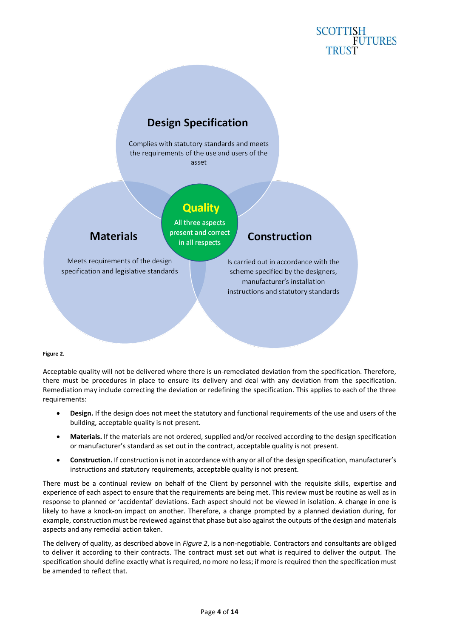## **SCOTTISH FUTURES**

## **Design Specification**

Complies with statutory standards and meets the requirements of the use and users of the asset

## **Quality**

**Materials** 

All three aspects present and correct in all respects

Meets requirements of the design specification and legislative standards

## Construction

Is carried out in accordance with the scheme specified by the designers, manufacturer's installation instructions and statutory standards

#### **Figure 2.**

Acceptable quality will not be delivered where there is un-remediated deviation from the specification. Therefore, there must be procedures in place to ensure its delivery and deal with any deviation from the specification. Remediation may include correcting the deviation or redefining the specification. This applies to each of the three requirements:

- **Design.** If the design does not meet the statutory and functional requirements of the use and users of the building, acceptable quality is not present.
- **Materials.** If the materials are not ordered, supplied and/or received according to the design specification or manufacturer's standard as set out in the contract, acceptable quality is not present.
- **Construction.** If construction is not in accordance with any or all of the design specification, manufacturer's instructions and statutory requirements, acceptable quality is not present.

There must be a continual review on behalf of the Client by personnel with the requisite skills, expertise and experience of each aspect to ensure that the requirements are being met. This review must be routine as well as in response to planned or 'accidental' deviations. Each aspect should not be viewed in isolation. A change in one is likely to have a knock-on impact on another. Therefore, a change prompted by a planned deviation during, for example, construction must be reviewed against that phase but also against the outputs of the design and materials aspects and any remedial action taken.

The delivery of quality, as described above in *Figure 2*, is a non-negotiable. Contractors and consultants are obliged to deliver it according to their contracts. The contract must set out what is required to deliver the output. The specification should define exactly what is required, no more no less; if more is required then the specification must be amended to reflect that.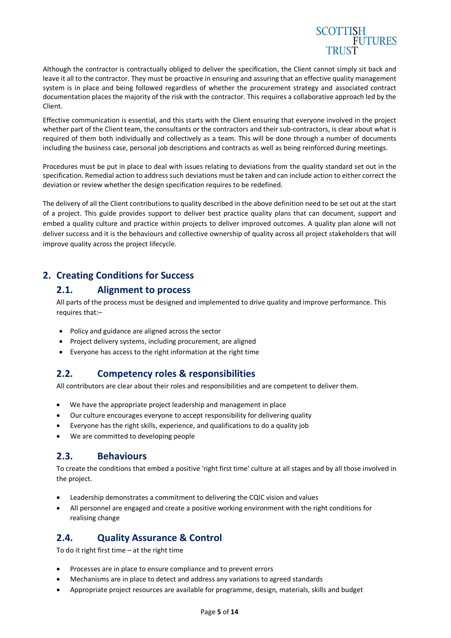

Although the contractor is contractually obliged to deliver the specification, the Client cannot simply sit back and leave it all to the contractor. They must be proactive in ensuring and assuring that an effective quality management system is in place and being followed regardless of whether the procurement strategy and associated contract documentation places the majority of the risk with the contractor. This requires a collaborative approach led by the Client.

Effective communication is essential, and this starts with the Client ensuring that everyone involved in the project whether part of the Client team, the consultants or the contractors and their sub-contractors, is clear about what is required of them both individually and collectively as a team. This will be done through a number of documents including the business case, personal job descriptions and contracts as well as being reinforced during meetings.

Procedures must be put in place to deal with issues relating to deviations from the quality standard set out in the specification. Remedial action to address such deviations must be taken and can include action to either correct the deviation or review whether the design specification requires to be redefined.

The delivery of all the Client contributions to quality described in the above definition need to be set out at the start of a project. This guide provides support to deliver best practice quality plans that can document, support and embed a quality culture and practice within projects to deliver improved outcomes. A quality plan alone will not deliver success and it is the behaviours and collective ownership of quality across all project stakeholders that will improve quality across the project lifecycle.

## **2. Creating Conditions for Success**

## **2.1. Alignment to process**

All parts of the process must be designed and implemented to drive quality and improve performance. This requires that:–

- Policy and guidance are aligned across the sector
- Project delivery systems, including procurement, are aligned
- Everyone has access to the right information at the right time

## **2.2. Competency roles & responsibilities**

All contributors are clear about their roles and responsibilities and are competent to deliver them.

- We have the appropriate project leadership and management in place
- Our culture encourages everyone to accept responsibility for delivering quality
- Everyone has the right skills, experience, and qualifications to do a quality job
- We are committed to developing people

## **2.3. Behaviours**

To create the conditions that embed a positive 'right first time' culture at all stages and by all those involved in the project.

- Leadership demonstrates a commitment to delivering the CQIC vision and values
- All personnel are engaged and create a positive working environment with the right conditions for realising change

## **2.4. Quality Assurance & Control**

To do it right first time – at the right time

- Processes are in place to ensure compliance and to prevent errors
- Mechanisms are in place to detect and address any variations to agreed standards
- Appropriate project resources are available for programme, design, materials, skills and budget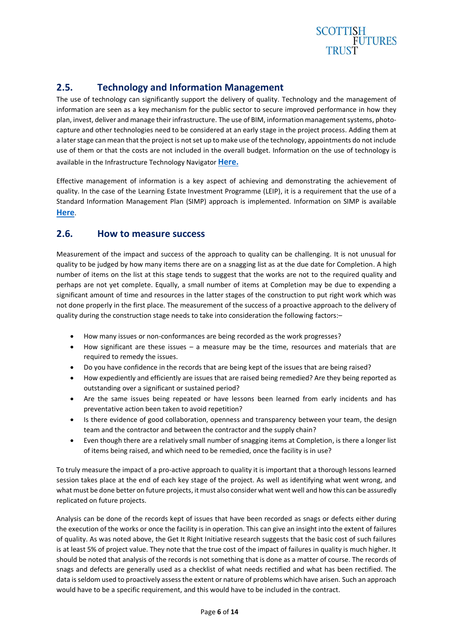

## **2.5. Technology and Information Management**

The use of technology can significantly support the delivery of quality. Technology and the management of information are seen as a key mechanism for the public sector to secure improved performance in how they plan, invest, deliver and manage theirinfrastructure. The use of BIM, information management systems, photocapture and other technologies need to be considered at an early stage in the project process. Adding them at a later stage can mean that the project is not set up to make use of the technology, appointments do not include use of them or that the costs are not included in the overall budget. Information on the use of technology is available in the Infrastructure Technology Navigator **[Here.](https://infratech.scottishfuturestrust.org.uk/)**

Effective management of information is a key aspect of achieving and demonstrating the achievement of quality. In the case of the Learning Estate Investment Programme (LEIP), it is a requirement that the use of a Standard Information Management Plan (SIMP) approach is implemented. Information on SIMP is available **[Here](https://bimportal.scottishfuturestrust.org.uk/level1/stage/8/task/64)**.

## **2.6. How to measure success**

Measurement of the impact and success of the approach to quality can be challenging. It is not unusual for quality to be judged by how many items there are on a snagging list as at the due date for Completion. A high number of items on the list at this stage tends to suggest that the works are not to the required quality and perhaps are not yet complete. Equally, a small number of items at Completion may be due to expending a significant amount of time and resources in the latter stages of the construction to put right work which was not done properly in the first place. The measurement of the success of a proactive approach to the delivery of quality during the construction stage needs to take into consideration the following factors:–

- How many issues or non-conformances are being recorded as the work progresses?
- How significant are these issues  $-$  a measure may be the time, resources and materials that are required to remedy the issues.
- Do you have confidence in the records that are being kept of the issues that are being raised?
- How expediently and efficiently are issues that are raised being remedied? Are they being reported as outstanding over a significant or sustained period?
- Are the same issues being repeated or have lessons been learned from early incidents and has preventative action been taken to avoid repetition?
- Is there evidence of good collaboration, openness and transparency between your team, the design team and the contractor and between the contractor and the supply chain?
- Even though there are a relatively small number of snagging items at Completion, is there a longer list of items being raised, and which need to be remedied, once the facility is in use?

To truly measure the impact of a pro-active approach to quality it is important that a thorough lessons learned session takes place at the end of each key stage of the project. As well as identifying what went wrong, and what must be done better on future projects, it must also consider what went well and how this can be assuredly replicated on future projects.

Analysis can be done of the records kept of issues that have been recorded as snags or defects either during the execution of the works or once the facility is in operation. This can give an insight into the extent of failures of quality. As was noted above, the Get It Right Initiative research suggests that the basic cost of such failures is at least 5% of project value. They note that the true cost of the impact of failures in quality is much higher. It should be noted that analysis of the records is not something that is done as a matter of course. The records of snags and defects are generally used as a checklist of what needs rectified and what has been rectified. The data is seldom used to proactively assess the extent or nature of problems which have arisen. Such an approach would have to be a specific requirement, and this would have to be included in the contract.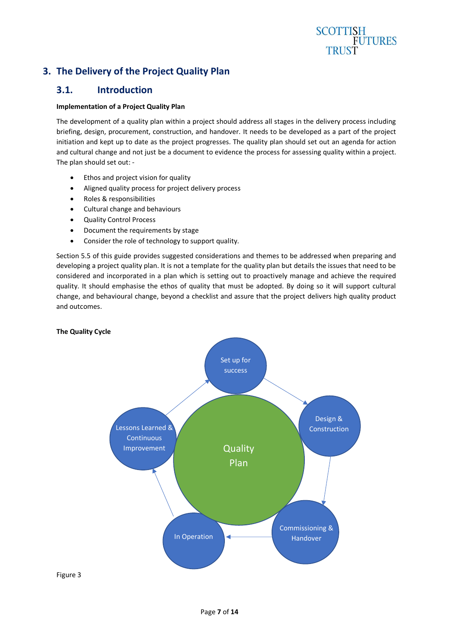## **SCOTTISH FUTURES TRUST**

## **3. The Delivery of the Project Quality Plan**

## **3.1. Introduction**

#### **Implementation of a Project Quality Plan**

The development of a quality plan within a project should address all stages in the delivery process including briefing, design, procurement, construction, and handover. It needs to be developed as a part of the project initiation and kept up to date as the project progresses. The quality plan should set out an agenda for action and cultural change and not just be a document to evidence the process for assessing quality within a project. The plan should set out: -

- Ethos and project vision for quality
- Aligned quality process for project delivery process
- Roles & responsibilities
- Cultural change and behaviours
- Quality Control Process
- Document the requirements by stage
- Consider the role of technology to support quality.

Section 5.5 of this guide provides suggested considerations and themes to be addressed when preparing and developing a project quality plan. It is not a template for the quality plan but details the issues that need to be considered and incorporated in a plan which is setting out to proactively manage and achieve the required quality. It should emphasise the ethos of quality that must be adopted. By doing so it will support cultural change, and behavioural change, beyond a checklist and assure that the project delivers high quality product and outcomes.



#### Figure 3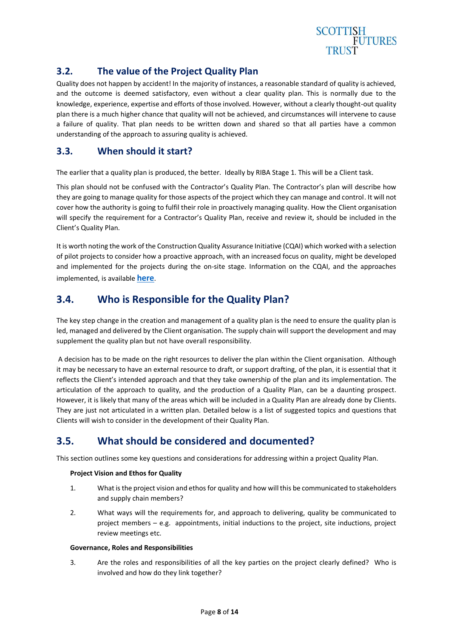

## **3.2. The value of the Project Quality Plan**

Quality does not happen by accident! In the majority of instances, a reasonable standard of quality is achieved, and the outcome is deemed satisfactory, even without a clear quality plan. This is normally due to the knowledge, experience, expertise and efforts of those involved. However, without a clearly thought-out quality plan there is a much higher chance that quality will not be achieved, and circumstances will intervene to cause a failure of quality. That plan needs to be written down and shared so that all parties have a common understanding of the approach to assuring quality is achieved.

## **3.3. When should it start?**

The earlier that a quality plan is produced, the better. Ideally by RIBA Stage 1. This will be a Client task.

This plan should not be confused with the Contractor's Quality Plan. The Contractor's plan will describe how they are going to manage quality for those aspects of the project which they can manage and control. It will not cover how the authority is going to fulfil their role in proactively managing quality. How the Client organisation will specify the requirement for a Contractor's Quality Plan, receive and review it, should be included in the Client's Quality Plan.

It is worth noting the work of the Construction Quality Assurance Initiative (CQAI) which worked with a selection of pilot projects to consider how a proactive approach, with an increased focus on quality, might be developed and implemented for the projects during the on-site stage. Information on the CQAI, and the approaches implemented, is available **[here](https://www.scottishfuturestrust.org.uk/storage/uploads/constructionqualityassuranceinitiativepdf.pdf)**.

## **3.4. Who is Responsible for the Quality Plan?**

The key step change in the creation and management of a quality plan is the need to ensure the quality plan is led, managed and delivered by the Client organisation. The supply chain will support the development and may supplement the quality plan but not have overall responsibility.

A decision has to be made on the right resources to deliver the plan within the Client organisation. Although it may be necessary to have an external resource to draft, or support drafting, of the plan, it is essential that it reflects the Client's intended approach and that they take ownership of the plan and its implementation. The articulation of the approach to quality, and the production of a Quality Plan, can be a daunting prospect. However, it is likely that many of the areas which will be included in a Quality Plan are already done by Clients. They are just not articulated in a written plan. Detailed below is a list of suggested topics and questions that Clients will wish to consider in the development of their Quality Plan.

## **3.5. What should be considered and documented?**

This section outlines some key questions and considerations for addressing within a project Quality Plan.

#### **Project Vision and Ethos for Quality**

- 1. What is the project vision and ethos for quality and how will this be communicated to stakeholders and supply chain members?
- 2. What ways will the requirements for, and approach to delivering, quality be communicated to project members – e.g. appointments, initial inductions to the project, site inductions, project review meetings etc.

#### **Governance, Roles and Responsibilities**

3. Are the roles and responsibilities of all the key parties on the project clearly defined? Who is involved and how do they link together?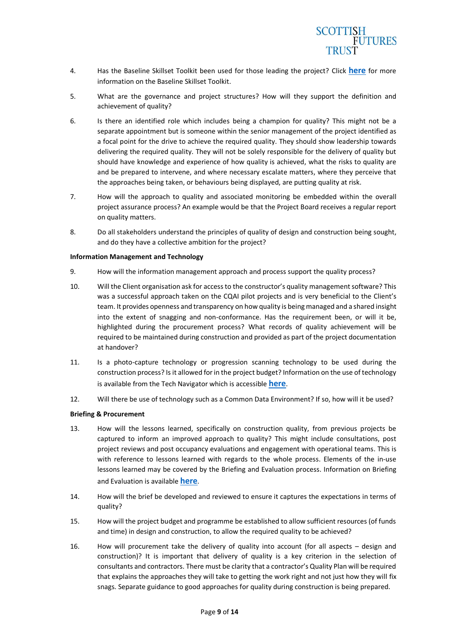

- 4. Has the Baseline Skillset Toolkit been used for those leading the project? Click **[here](https://www.scottishfuturestrust.org.uk/publications/search?q=baseline+skillset)** for more information on the Baseline Skillset Toolkit.
- 5. What are the governance and project structures? How will they support the definition and achievement of quality?
- 6. Is there an identified role which includes being a champion for quality? This might not be a separate appointment but is someone within the senior management of the project identified as a focal point for the drive to achieve the required quality. They should show leadership towards delivering the required quality. They will not be solely responsible for the delivery of quality but should have knowledge and experience of how quality is achieved, what the risks to quality are and be prepared to intervene, and where necessary escalate matters, where they perceive that the approaches being taken, or behaviours being displayed, are putting quality at risk.
- 7. How will the approach to quality and associated monitoring be embedded within the overall project assurance process? An example would be that the Project Board receives a regular report on quality matters.
- 8. Do all stakeholders understand the principles of quality of design and construction being sought, and do they have a collective ambition for the project?

#### **Information Management and Technology**

- 9. How will the information management approach and process support the quality process?
- 10. Will the Client organisation ask for access to the constructor's quality management software? This was a successful approach taken on the CQAI pilot projects and is very beneficial to the Client's team. It provides openness and transparency on how quality is being managed and a shared insight into the extent of snagging and non-conformance. Has the requirement been, or will it be, highlighted during the procurement process? What records of quality achievement will be required to be maintained during construction and provided as part of the project documentation at handover?
- 11. Is a photo-capture technology or progression scanning technology to be used during the construction process? Is it allowed for in the project budget? Information on the use of technology is available from the Tech Navigator which is accessible **[here](https://infratech.scottishfuturestrust.org.uk/)**.
- 12. Will there be use of technology such as a Common Data Environment? If so, how will it be used?

#### **Briefing & Procurement**

- 13. How will the lessons learned, specifically on construction quality, from previous projects be captured to inform an improved approach to quality? This might include consultations, post project reviews and post occupancy evaluations and engagement with operational teams. This is with reference to lessons learned with regards to the whole process. Elements of the in-use lessons learned may be covered by the Briefing and Evaluation process. Information on Briefing and Evaluation is available **[here](https://www.scottishfuturestrust.org.uk/storage/uploads/sftframework18052021.pdf)**.
- 14. How will the brief be developed and reviewed to ensure it captures the expectations in terms of quality?
- 15. How will the project budget and programme be established to allow sufficient resources (of funds and time) in design and construction, to allow the required quality to be achieved?
- 16. How will procurement take the delivery of quality into account (for all aspects design and construction)? It is important that delivery of quality is a key criterion in the selection of consultants and contractors. There must be clarity that a contractor's Quality Plan will be required that explains the approaches they will take to getting the work right and not just how they will fix snags. Separate guidance to good approaches for quality during construction is being prepared.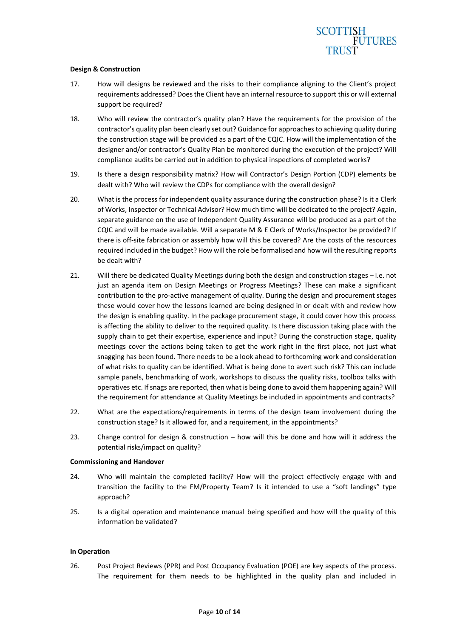## **SCOTTISH FUTURES**

#### **Design & Construction**

- 17. How will designs be reviewed and the risks to their compliance aligning to the Client's project requirements addressed? Does the Client have an internal resource to support this or will external support be required?
- 18. Who will review the contractor's quality plan? Have the requirements for the provision of the contractor's quality plan been clearly set out? Guidance for approaches to achieving quality during the construction stage will be provided as a part of the CQIC. How will the implementation of the designer and/or contractor's Quality Plan be monitored during the execution of the project? Will compliance audits be carried out in addition to physical inspections of completed works?
- 19. Is there a design responsibility matrix? How will Contractor's Design Portion (CDP) elements be dealt with? Who will review the CDPs for compliance with the overall design?
- 20. What is the process for independent quality assurance during the construction phase? Is it a Clerk of Works, Inspector or Technical Advisor? How much time will be dedicated to the project? Again, separate guidance on the use of Independent Quality Assurance will be produced as a part of the CQIC and will be made available. Will a separate M & E Clerk of Works/Inspector be provided? If there is off-site fabrication or assembly how will this be covered? Are the costs of the resources required included in the budget? How will the role be formalised and how will the resulting reports be dealt with?
- 21. Will there be dedicated Quality Meetings during both the design and construction stages i.e. not just an agenda item on Design Meetings or Progress Meetings? These can make a significant contribution to the pro-active management of quality. During the design and procurement stages these would cover how the lessons learned are being designed in or dealt with and review how the design is enabling quality. In the package procurement stage, it could cover how this process is affecting the ability to deliver to the required quality. Is there discussion taking place with the supply chain to get their expertise, experience and input? During the construction stage, quality meetings cover the actions being taken to get the work right in the first place, not just what snagging has been found. There needs to be a look ahead to forthcoming work and consideration of what risks to quality can be identified. What is being done to avert such risk? This can include sample panels, benchmarking of work, workshops to discuss the quality risks, toolbox talks with operatives etc. If snags are reported, then what is being done to avoid them happening again? Will the requirement for attendance at Quality Meetings be included in appointments and contracts?
- 22. What are the expectations/requirements in terms of the design team involvement during the construction stage? Is it allowed for, and a requirement, in the appointments?
- 23. Change control for design & construction how will this be done and how will it address the potential risks/impact on quality?

#### **Commissioning and Handover**

- 24. Who will maintain the completed facility? How will the project effectively engage with and transition the facility to the FM/Property Team? Is it intended to use a "soft landings" type approach?
- 25. Is a digital operation and maintenance manual being specified and how will the quality of this information be validated?

#### **In Operation**

26. Post Project Reviews (PPR) and Post Occupancy Evaluation (POE) are key aspects of the process. The requirement for them needs to be highlighted in the quality plan and included in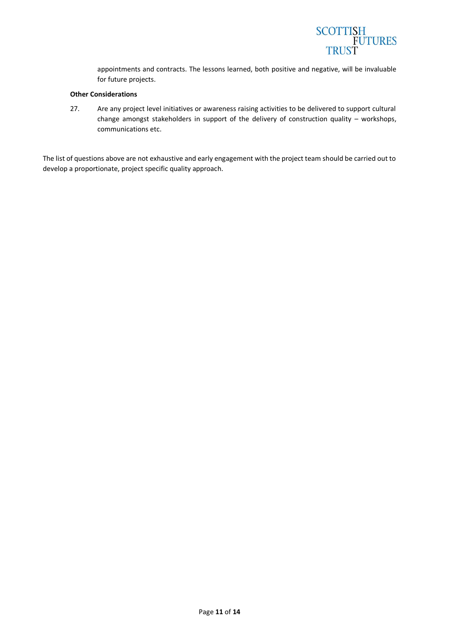

appointments and contracts. The lessons learned, both positive and negative, will be invaluable for future projects.

#### **Other Considerations**

27. Are any project level initiatives or awareness raising activities to be delivered to support cultural change amongst stakeholders in support of the delivery of construction quality – workshops, communications etc.

The list of questions above are not exhaustive and early engagement with the project team should be carried out to develop a proportionate, project specific quality approach.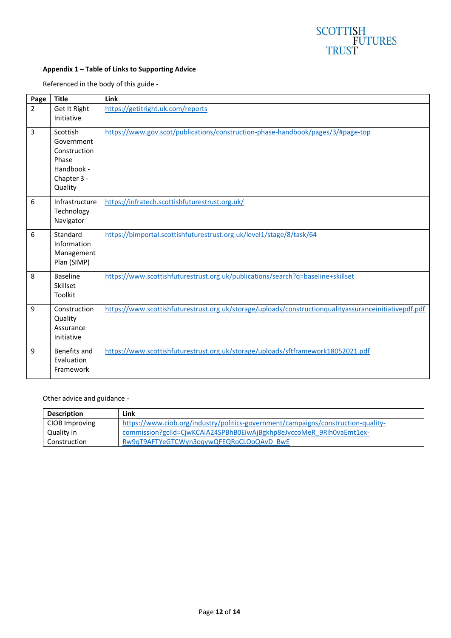# SCOTTISH<br>FUTURES<br>TRUST

#### **Appendix 1 – Table of Links to Supporting Advice**

Referenced in the body of this guide -

| Page           | <b>Title</b>                                                                            | Link                                                                                                  |
|----------------|-----------------------------------------------------------------------------------------|-------------------------------------------------------------------------------------------------------|
| $\overline{2}$ | Get It Right<br>Initiative                                                              | https://getitright.uk.com/reports                                                                     |
| 3              | Scottish<br>Government<br>Construction<br>Phase<br>Handbook -<br>Chapter 3 -<br>Quality | https://www.gov.scot/publications/construction-phase-handbook/pages/3/#page-top                       |
| 6              | Infrastructure<br>Technology<br>Navigator                                               | https://infratech.scottishfuturestrust.org.uk/                                                        |
| 6              | Standard<br>Information<br>Management<br>Plan (SIMP)                                    | https://bimportal.scottishfuturestrust.org.uk/level1/stage/8/task/64                                  |
| 8              | <b>Baseline</b><br>Skillset<br>Toolkit                                                  | https://www.scottishfuturestrust.org.uk/publications/search?q=baseline+skillset                       |
| 9              | Construction<br>Quality<br>Assurance<br>Initiative                                      | https://www.scottishfuturestrust.org.uk/storage/uploads/constructionqualityassuranceinitiativepdf.pdf |
| 9              | Benefits and<br>Evaluation<br>Framework                                                 | https://www.scottishfuturestrust.org.uk/storage/uploads/sftframework18052021.pdf                      |

Other advice and guidance -

| <b>Description</b> | Link                                                                              |
|--------------------|-----------------------------------------------------------------------------------|
| CIOB Improving     | https://www.ciob.org/industry/politics-government/campaigns/construction-quality- |
| Quality in         | commission?gclid=CjwKCAiA24SPBhB0EiwAjBgkhp8eJvccoMeR_9Rlh0vaEmt1ex-              |
| Construction       | Rw9qT9AFTYeGTCWyn3ogywQFEQRoCLOoQAvD BwE                                          |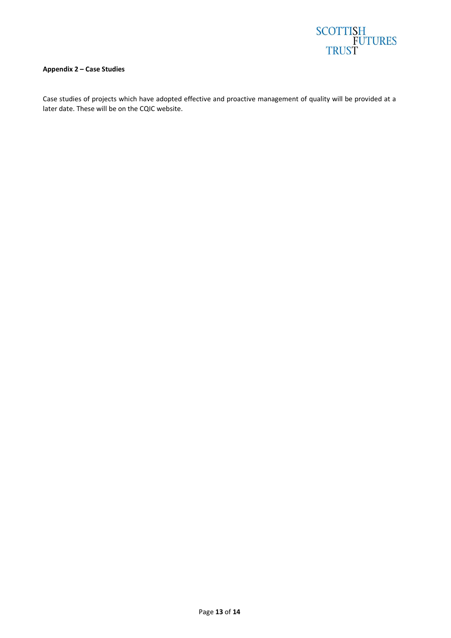

#### **Appendix 2 – Case Studies**

Case studies of projects which have adopted effective and proactive management of quality will be provided at a later date. These will be on the CQIC website.